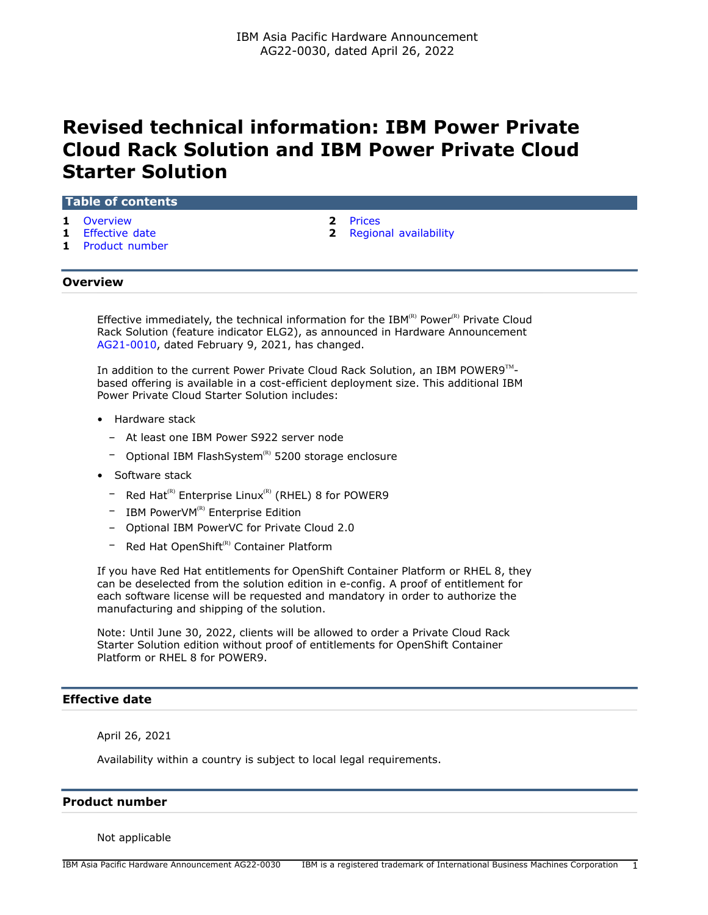# **Revised technical information: IBM Power Private Cloud Rack Solution and IBM Power Private Cloud Starter Solution**

## **Table of contents**

- **1** [Overview](#page-0-0) **2** [Prices](#page-1-0)
- 
- **1** [Product number](#page-0-2)
- 
- **1** [Effective date](#page-0-1) **2** [Regional availability](#page-1-1)

# <span id="page-0-0"></span>**Overview**

Effective immediately, the technical information for the IBM $R(R)$  Power $R(R)$  Private Cloud Rack Solution (feature indicator ELG2), as announced in Hardware Announcement [AG21-0010](http://www.ibm.com/common/ssi/cgi-bin/ssialias?infotype=an&subtype=ca&appname=gpateam&supplier=872&letternum=ENUSAG21-0010), dated February 9, 2021, has changed.

In addition to the current Power Private Cloud Rack Solution, an IBM POWER9 $^{\text{TM}}$ based offering is available in a cost-efficient deployment size. This additional IBM Power Private Cloud Starter Solution includes:

- Hardware stack
	- At least one IBM Power S922 server node
	- Optional IBM FlashSystem<sup>(R)</sup> 5200 storage enclosure
- Software stack
	- $-$  Red Hat<sup>(R)</sup> Enterprise Linux<sup>(R)</sup> (RHEL) 8 for POWER9
	- $-$  IBM PowerVM<sup>(R)</sup> Enterprise Edition
	- Optional IBM PowerVC for Private Cloud 2.0
	- Red Hat OpenShift<sup>(R)</sup> Container Platform

If you have Red Hat entitlements for OpenShift Container Platform or RHEL 8, they can be deselected from the solution edition in e-config. A proof of entitlement for each software license will be requested and mandatory in order to authorize the manufacturing and shipping of the solution.

Note: Until June 30, 2022, clients will be allowed to order a Private Cloud Rack Starter Solution edition without proof of entitlements for OpenShift Container Platform or RHEL 8 for POWER9.

# <span id="page-0-1"></span>**Effective date**

April 26, 2021

Availability within a country is subject to local legal requirements.

#### <span id="page-0-2"></span>**Product number**

Not applicable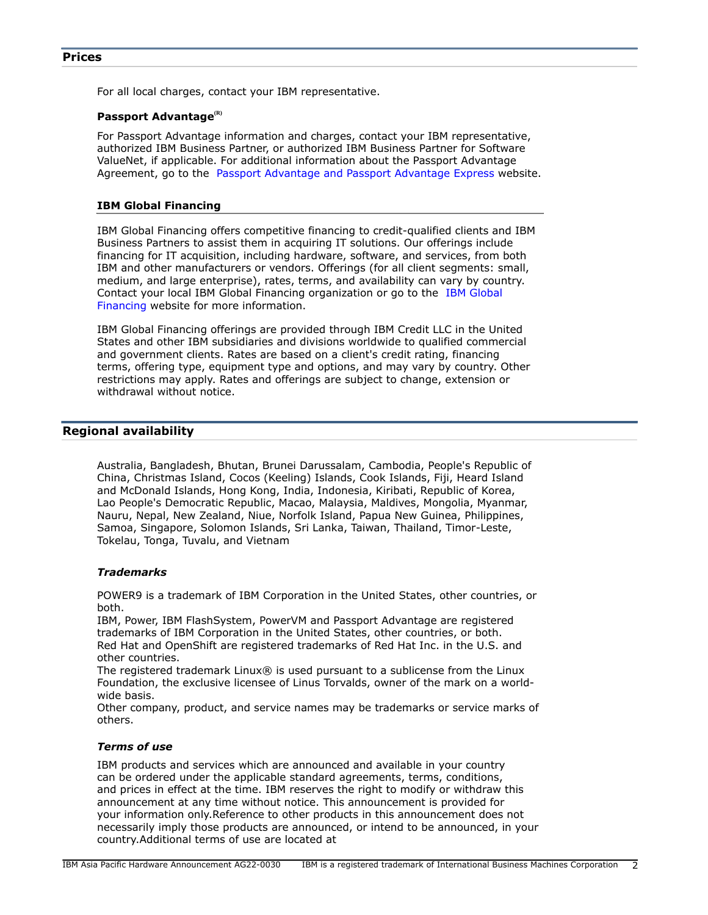# <span id="page-1-0"></span>**Prices**

For all local charges, contact your IBM representative.

#### **Passport Advantage(R)**

For Passport Advantage information and charges, contact your IBM representative, authorized IBM Business Partner, or authorized IBM Business Partner for Software ValueNet, if applicable. For additional information about the Passport Advantage Agreement, go to the [Passport Advantage and Passport Advantage Express](http://www.ibm.com/software/passportadvantage) website.

#### **IBM Global Financing**

IBM Global Financing offers competitive financing to credit-qualified clients and IBM Business Partners to assist them in acquiring IT solutions. Our offerings include financing for IT acquisition, including hardware, software, and services, from both IBM and other manufacturers or vendors. Offerings (for all client segments: small, medium, and large enterprise), rates, terms, and availability can vary by country. Contact your local IBM Global Financing organization or go to the [IBM Global](http://www.ibm.com/financing) [Financing](http://www.ibm.com/financing) website for more information.

IBM Global Financing offerings are provided through IBM Credit LLC in the United States and other IBM subsidiaries and divisions worldwide to qualified commercial and government clients. Rates are based on a client's credit rating, financing terms, offering type, equipment type and options, and may vary by country. Other restrictions may apply. Rates and offerings are subject to change, extension or withdrawal without notice.

# <span id="page-1-1"></span>**Regional availability**

Australia, Bangladesh, Bhutan, Brunei Darussalam, Cambodia, People's Republic of China, Christmas Island, Cocos (Keeling) Islands, Cook Islands, Fiji, Heard Island and McDonald Islands, Hong Kong, India, Indonesia, Kiribati, Republic of Korea, Lao People's Democratic Republic, Macao, Malaysia, Maldives, Mongolia, Myanmar, Nauru, Nepal, New Zealand, Niue, Norfolk Island, Papua New Guinea, Philippines, Samoa, Singapore, Solomon Islands, Sri Lanka, Taiwan, Thailand, Timor-Leste, Tokelau, Tonga, Tuvalu, and Vietnam

## *Trademarks*

POWER9 is a trademark of IBM Corporation in the United States, other countries, or both.

IBM, Power, IBM FlashSystem, PowerVM and Passport Advantage are registered trademarks of IBM Corporation in the United States, other countries, or both. Red Hat and OpenShift are registered trademarks of Red Hat Inc. in the U.S. and other countries.

The registered trademark Linux® is used pursuant to a sublicense from the Linux Foundation, the exclusive licensee of Linus Torvalds, owner of the mark on a worldwide basis.

Other company, product, and service names may be trademarks or service marks of others.

#### *Terms of use*

IBM products and services which are announced and available in your country can be ordered under the applicable standard agreements, terms, conditions, and prices in effect at the time. IBM reserves the right to modify or withdraw this announcement at any time without notice. This announcement is provided for your information only.Reference to other products in this announcement does not necessarily imply those products are announced, or intend to be announced, in your country.Additional terms of use are located at